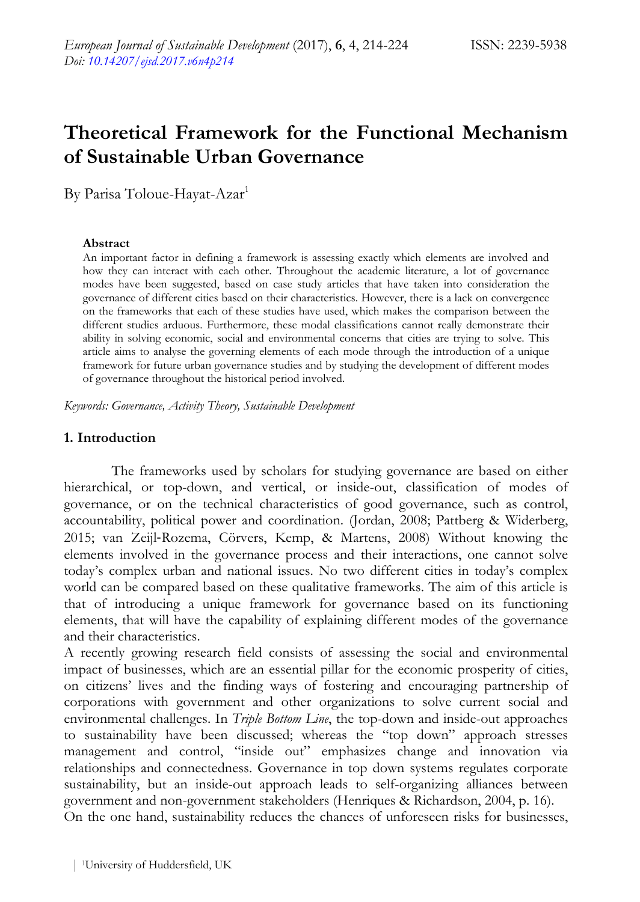# **Theoretical Framework for the Functional Mechanism of Sustainable Urban Governance**

By Parisa Toloue-Hayat-Azar1

### **Abstract**

An important factor in defining a framework is assessing exactly which elements are involved and how they can interact with each other. Throughout the academic literature, a lot of governance modes have been suggested, based on case study articles that have taken into consideration the governance of different cities based on their characteristics. However, there is a lack on convergence on the frameworks that each of these studies have used, which makes the comparison between the different studies arduous. Furthermore, these modal classifications cannot really demonstrate their ability in solving economic, social and environmental concerns that cities are trying to solve. This article aims to analyse the governing elements of each mode through the introduction of a unique framework for future urban governance studies and by studying the development of different modes of governance throughout the historical period involved.

*Keywords: Governance, Activity Theory, Sustainable Development* 

## **1. Introduction**

The frameworks used by scholars for studying governance are based on either hierarchical, or top-down, and vertical, or inside-out, classification of modes of governance, or on the technical characteristics of good governance, such as control, accountability, political power and coordination. (Jordan, 2008; Pattberg & Widerberg, 2015; van Zeijl‐Rozema, Cörvers, Kemp, & Martens, 2008) Without knowing the elements involved in the governance process and their interactions, one cannot solve today's complex urban and national issues. No two different cities in today's complex world can be compared based on these qualitative frameworks. The aim of this article is that of introducing a unique framework for governance based on its functioning elements, that will have the capability of explaining different modes of the governance and their characteristics.

A recently growing research field consists of assessing the social and environmental impact of businesses, which are an essential pillar for the economic prosperity of cities, on citizens' lives and the finding ways of fostering and encouraging partnership of corporations with government and other organizations to solve current social and environmental challenges. In *Triple Bottom Line*, the top-down and inside-out approaches to sustainability have been discussed; whereas the "top down" approach stresses management and control, "inside out" emphasizes change and innovation via relationships and connectedness. Governance in top down systems regulates corporate sustainability, but an inside-out approach leads to self-organizing alliances between government and non-government stakeholders (Henriques & Richardson, 2004, p. 16). On the one hand, sustainability reduces the chances of unforeseen risks for businesses,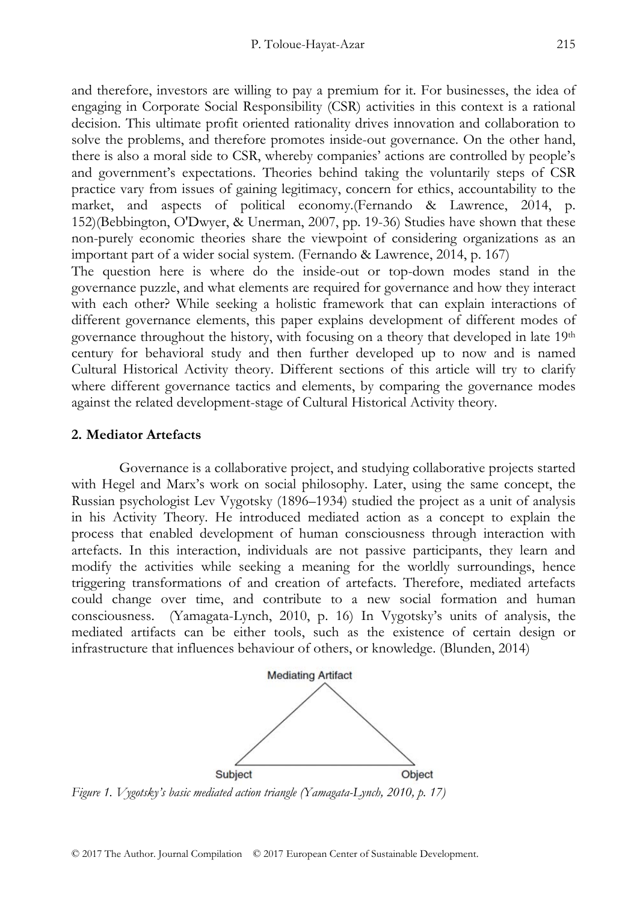and therefore, investors are willing to pay a premium for it. For businesses, the idea of engaging in Corporate Social Responsibility (CSR) activities in this context is a rational decision. This ultimate profit oriented rationality drives innovation and collaboration to solve the problems, and therefore promotes inside-out governance. On the other hand, there is also a moral side to CSR, whereby companies' actions are controlled by people's and government's expectations. Theories behind taking the voluntarily steps of CSR practice vary from issues of gaining legitimacy, concern for ethics, accountability to the market, and aspects of political economy.(Fernando & Lawrence, 2014, p. 152)(Bebbington, O'Dwyer, & Unerman, 2007, pp. 19-36) Studies have shown that these non-purely economic theories share the viewpoint of considering organizations as an important part of a wider social system. (Fernando & Lawrence, 2014, p. 167)

The question here is where do the inside-out or top-down modes stand in the governance puzzle, and what elements are required for governance and how they interact with each other? While seeking a holistic framework that can explain interactions of different governance elements, this paper explains development of different modes of governance throughout the history, with focusing on a theory that developed in late 19<sup>th</sup> century for behavioral study and then further developed up to now and is named Cultural Historical Activity theory. Different sections of this article will try to clarify where different governance tactics and elements, by comparing the governance modes against the related development-stage of Cultural Historical Activity theory.

#### **2. Mediator Artefacts**

Governance is a collaborative project, and studying collaborative projects started with Hegel and Marx's work on social philosophy. Later, using the same concept, the Russian psychologist Lev Vygotsky (1896–1934) studied the project as a unit of analysis in his Activity Theory. He introduced mediated action as a concept to explain the process that enabled development of human consciousness through interaction with artefacts. In this interaction, individuals are not passive participants, they learn and modify the activities while seeking a meaning for the worldly surroundings, hence triggering transformations of and creation of artefacts. Therefore, mediated artefacts could change over time, and contribute to a new social formation and human consciousness. (Yamagata-Lynch, 2010, p. 16) In Vygotsky's units of analysis, the mediated artifacts can be either tools, such as the existence of certain design or infrastructure that influences behaviour of others, or knowledge. (Blunden, 2014)



*Figure 1. Vygotsky's basic mediated action triangle (Yamagata-Lynch, 2010, p. 17)*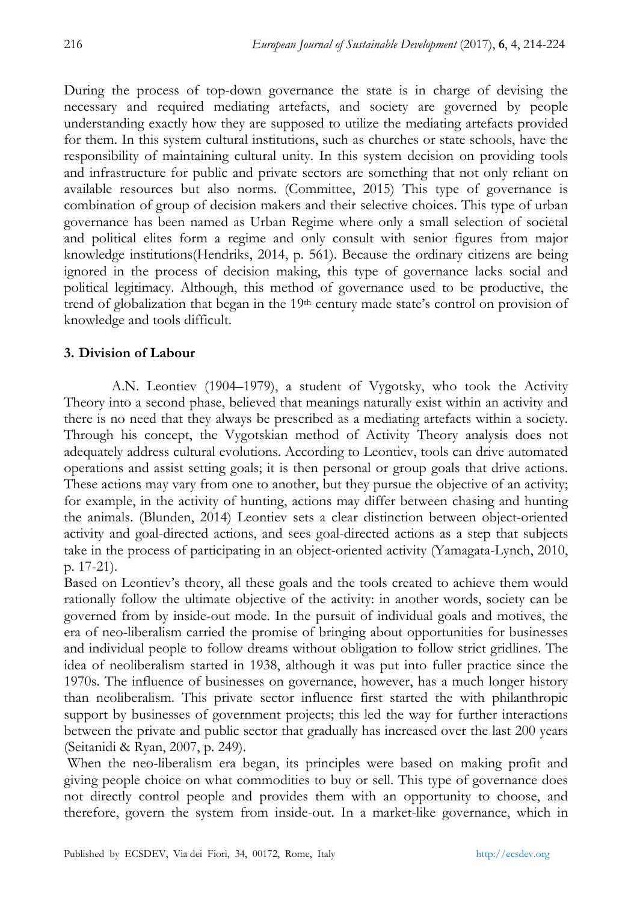During the process of top-down governance the state is in charge of devising the necessary and required mediating artefacts, and society are governed by people understanding exactly how they are supposed to utilize the mediating artefacts provided for them. In this system cultural institutions, such as churches or state schools, have the responsibility of maintaining cultural unity. In this system decision on providing tools and infrastructure for public and private sectors are something that not only reliant on available resources but also norms. (Committee, 2015) This type of governance is combination of group of decision makers and their selective choices. This type of urban governance has been named as Urban Regime where only a small selection of societal and political elites form a regime and only consult with senior figures from major knowledge institutions(Hendriks, 2014, p. 561). Because the ordinary citizens are being ignored in the process of decision making, this type of governance lacks social and political legitimacy. Although, this method of governance used to be productive, the trend of globalization that began in the 19<sup>th</sup> century made state's control on provision of knowledge and tools difficult.

# **3. Division of Labour**

A.N. Leontiev (1904–1979), a student of Vygotsky, who took the Activity Theory into a second phase, believed that meanings naturally exist within an activity and there is no need that they always be prescribed as a mediating artefacts within a society. Through his concept, the Vygotskian method of Activity Theory analysis does not adequately address cultural evolutions. According to Leontiev, tools can drive automated operations and assist setting goals; it is then personal or group goals that drive actions. These actions may vary from one to another, but they pursue the objective of an activity; for example, in the activity of hunting, actions may differ between chasing and hunting the animals. (Blunden, 2014) Leontiev sets a clear distinction between object-oriented activity and goal-directed actions, and sees goal-directed actions as a step that subjects take in the process of participating in an object-oriented activity (Yamagata-Lynch, 2010, p. 17-21).

Based on Leontiev's theory, all these goals and the tools created to achieve them would rationally follow the ultimate objective of the activity: in another words, society can be governed from by inside-out mode. In the pursuit of individual goals and motives, the era of neo-liberalism carried the promise of bringing about opportunities for businesses and individual people to follow dreams without obligation to follow strict gridlines. The idea of neoliberalism started in 1938, although it was put into fuller practice since the 1970s. The influence of businesses on governance, however, has a much longer history than neoliberalism. This private sector influence first started the with philanthropic support by businesses of government projects; this led the way for further interactions between the private and public sector that gradually has increased over the last 200 years (Seitanidi & Ryan, 2007, p. 249).

 When the neo-liberalism era began, its principles were based on making profit and giving people choice on what commodities to buy or sell. This type of governance does not directly control people and provides them with an opportunity to choose, and therefore, govern the system from inside-out. In a market-like governance, which in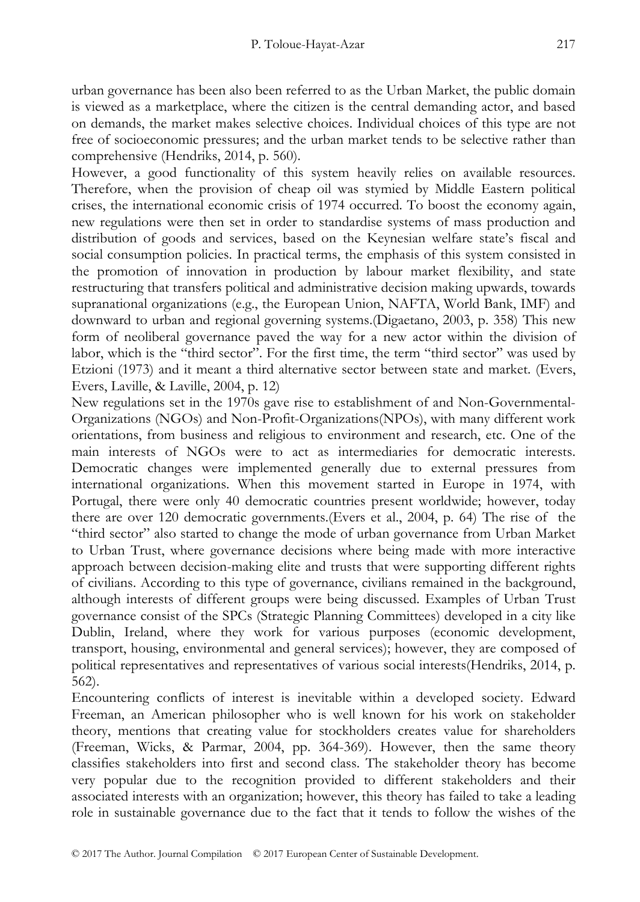urban governance has been also been referred to as the Urban Market, the public domain is viewed as a marketplace, where the citizen is the central demanding actor, and based on demands, the market makes selective choices. Individual choices of this type are not free of socioeconomic pressures; and the urban market tends to be selective rather than comprehensive (Hendriks, 2014, p. 560).

However, a good functionality of this system heavily relies on available resources. Therefore, when the provision of cheap oil was stymied by Middle Eastern political crises, the international economic crisis of 1974 occurred. To boost the economy again, new regulations were then set in order to standardise systems of mass production and distribution of goods and services, based on the Keynesian welfare state's fiscal and social consumption policies. In practical terms, the emphasis of this system consisted in the promotion of innovation in production by labour market flexibility, and state restructuring that transfers political and administrative decision making upwards, towards supranational organizations (e.g., the European Union, NAFTA, World Bank, IMF) and downward to urban and regional governing systems.(Digaetano, 2003, p. 358) This new form of neoliberal governance paved the way for a new actor within the division of labor, which is the "third sector". For the first time, the term "third sector" was used by Etzioni (1973) and it meant a third alternative sector between state and market. (Evers, Evers, Laville, & Laville, 2004, p. 12)

New regulations set in the 1970s gave rise to establishment of and Non-Governmental-Organizations (NGOs) and Non-Profit-Organizations(NPOs), with many different work orientations, from business and religious to environment and research, etc. One of the main interests of NGOs were to act as intermediaries for democratic interests. Democratic changes were implemented generally due to external pressures from international organizations. When this movement started in Europe in 1974, with Portugal, there were only 40 democratic countries present worldwide; however, today there are over 120 democratic governments.(Evers et al., 2004, p. 64) The rise of the "third sector" also started to change the mode of urban governance from Urban Market to Urban Trust, where governance decisions where being made with more interactive approach between decision-making elite and trusts that were supporting different rights of civilians. According to this type of governance, civilians remained in the background, although interests of different groups were being discussed. Examples of Urban Trust governance consist of the SPCs (Strategic Planning Committees) developed in a city like Dublin, Ireland, where they work for various purposes (economic development, transport, housing, environmental and general services); however, they are composed of political representatives and representatives of various social interests(Hendriks, 2014, p. 562).

Encountering conflicts of interest is inevitable within a developed society. Edward Freeman, an American philosopher who is well known for his work on stakeholder theory, mentions that creating value for stockholders creates value for shareholders (Freeman, Wicks, & Parmar, 2004, pp. 364-369). However, then the same theory classifies stakeholders into first and second class. The stakeholder theory has become very popular due to the recognition provided to different stakeholders and their associated interests with an organization; however, this theory has failed to take a leading role in sustainable governance due to the fact that it tends to follow the wishes of the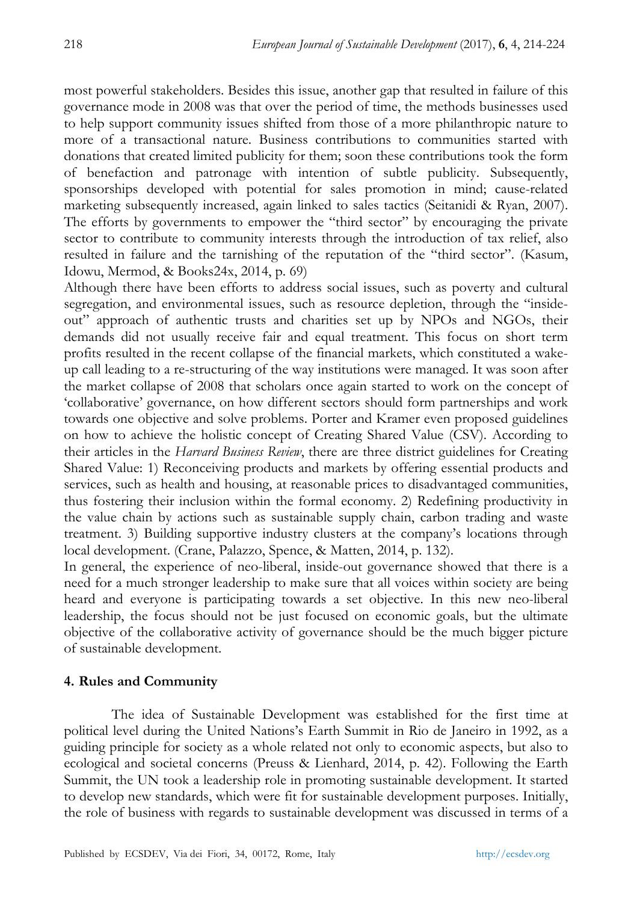most powerful stakeholders. Besides this issue, another gap that resulted in failure of this governance mode in 2008 was that over the period of time, the methods businesses used to help support community issues shifted from those of a more philanthropic nature to more of a transactional nature. Business contributions to communities started with donations that created limited publicity for them; soon these contributions took the form of benefaction and patronage with intention of subtle publicity. Subsequently, sponsorships developed with potential for sales promotion in mind; cause-related marketing subsequently increased, again linked to sales tactics (Seitanidi & Ryan, 2007). The efforts by governments to empower the "third sector" by encouraging the private sector to contribute to community interests through the introduction of tax relief, also resulted in failure and the tarnishing of the reputation of the "third sector". (Kasum, Idowu, Mermod, & Books24x, 2014, p. 69)

Although there have been efforts to address social issues, such as poverty and cultural segregation, and environmental issues, such as resource depletion, through the "insideout" approach of authentic trusts and charities set up by NPOs and NGOs, their demands did not usually receive fair and equal treatment. This focus on short term profits resulted in the recent collapse of the financial markets, which constituted a wakeup call leading to a re-structuring of the way institutions were managed. It was soon after the market collapse of 2008 that scholars once again started to work on the concept of 'collaborative' governance, on how different sectors should form partnerships and work towards one objective and solve problems. Porter and Kramer even proposed guidelines on how to achieve the holistic concept of Creating Shared Value (CSV). According to their articles in the *Harvard Business Review*, there are three district guidelines for Creating Shared Value: 1) Reconceiving products and markets by offering essential products and services, such as health and housing, at reasonable prices to disadvantaged communities, thus fostering their inclusion within the formal economy. 2) Redefining productivity in the value chain by actions such as sustainable supply chain, carbon trading and waste treatment. 3) Building supportive industry clusters at the company's locations through local development. (Crane, Palazzo, Spence, & Matten, 2014, p. 132).

In general, the experience of neo-liberal, inside-out governance showed that there is a need for a much stronger leadership to make sure that all voices within society are being heard and everyone is participating towards a set objective. In this new neo-liberal leadership, the focus should not be just focused on economic goals, but the ultimate objective of the collaborative activity of governance should be the much bigger picture of sustainable development.

# **4. Rules and Community**

The idea of Sustainable Development was established for the first time at political level during the United Nations's Earth Summit in Rio de Janeiro in 1992, as a guiding principle for society as a whole related not only to economic aspects, but also to ecological and societal concerns (Preuss & Lienhard, 2014, p. 42). Following the Earth Summit, the UN took a leadership role in promoting sustainable development. It started to develop new standards, which were fit for sustainable development purposes. Initially, the role of business with regards to sustainable development was discussed in terms of a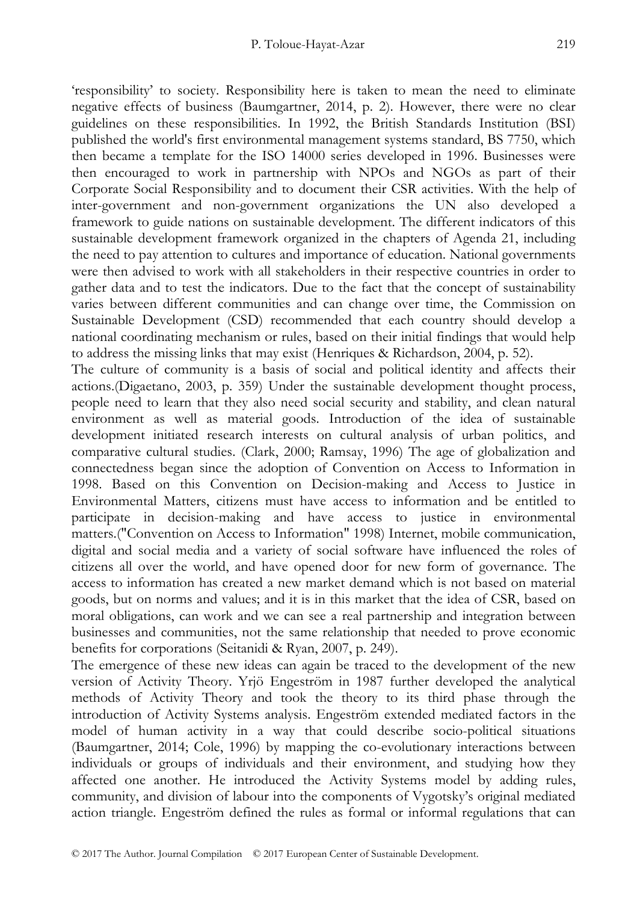'responsibility' to society. Responsibility here is taken to mean the need to eliminate negative effects of business (Baumgartner, 2014, p. 2). However, there were no clear guidelines on these responsibilities. In 1992, the British Standards Institution (BSI) published the world's first environmental management systems standard, BS 7750, which then became a template for the ISO 14000 series developed in 1996. Businesses were then encouraged to work in partnership with NPOs and NGOs as part of their Corporate Social Responsibility and to document their CSR activities. With the help of inter-government and non-government organizations the UN also developed a framework to guide nations on sustainable development. The different indicators of this sustainable development framework organized in the chapters of Agenda 21, including the need to pay attention to cultures and importance of education. National governments were then advised to work with all stakeholders in their respective countries in order to gather data and to test the indicators. Due to the fact that the concept of sustainability varies between different communities and can change over time, the Commission on Sustainable Development (CSD) recommended that each country should develop a national coordinating mechanism or rules, based on their initial findings that would help to address the missing links that may exist (Henriques & Richardson, 2004, p. 52).

The culture of community is a basis of social and political identity and affects their actions.(Digaetano, 2003, p. 359) Under the sustainable development thought process, people need to learn that they also need social security and stability, and clean natural environment as well as material goods. Introduction of the idea of sustainable development initiated research interests on cultural analysis of urban politics, and comparative cultural studies. (Clark, 2000; Ramsay, 1996) The age of globalization and connectedness began since the adoption of Convention on Access to Information in 1998. Based on this Convention on Decision-making and Access to Justice in Environmental Matters, citizens must have access to information and be entitled to participate in decision-making and have access to justice in environmental matters.("Convention on Access to Information" 1998) Internet, mobile communication, digital and social media and a variety of social software have influenced the roles of citizens all over the world, and have opened door for new form of governance. The access to information has created a new market demand which is not based on material goods, but on norms and values; and it is in this market that the idea of CSR, based on moral obligations, can work and we can see a real partnership and integration between businesses and communities, not the same relationship that needed to prove economic benefits for corporations (Seitanidi & Ryan, 2007, p. 249).

The emergence of these new ideas can again be traced to the development of the new version of Activity Theory. Yrjö Engeström in 1987 further developed the analytical methods of Activity Theory and took the theory to its third phase through the introduction of Activity Systems analysis. Engeström extended mediated factors in the model of human activity in a way that could describe socio-political situations (Baumgartner, 2014; Cole, 1996) by mapping the co-evolutionary interactions between individuals or groups of individuals and their environment, and studying how they affected one another. He introduced the Activity Systems model by adding rules, community, and division of labour into the components of Vygotsky's original mediated action triangle. Engeström defined the rules as formal or informal regulations that can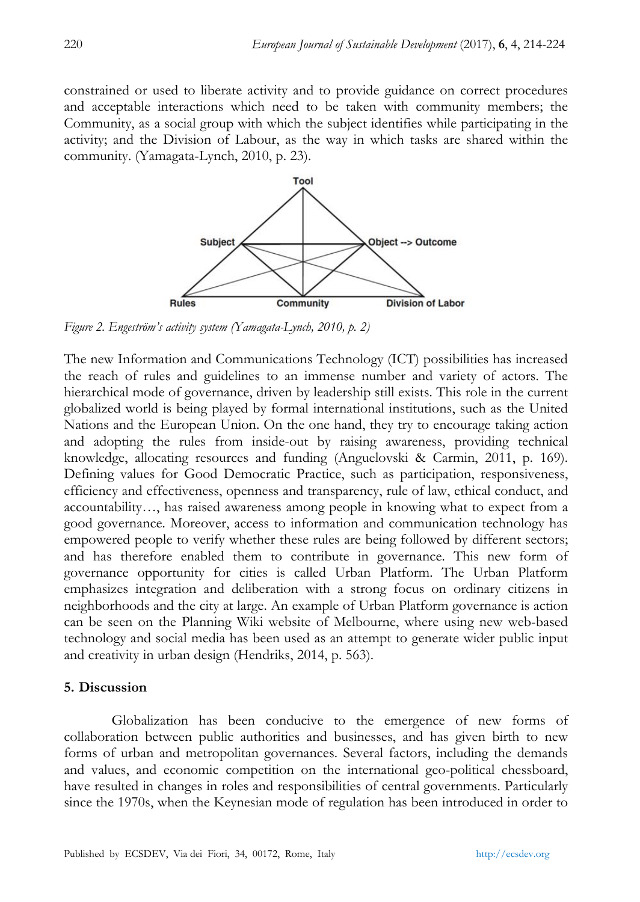constrained or used to liberate activity and to provide guidance on correct procedures and acceptable interactions which need to be taken with community members; the Community, as a social group with which the subject identifies while participating in the activity; and the Division of Labour, as the way in which tasks are shared within the community. (Yamagata-Lynch, 2010, p. 23).



*Figure 2. Engeström's activity system (Yamagata-Lynch, 2010, p. 2)* 

The new Information and Communications Technology (ICT) possibilities has increased the reach of rules and guidelines to an immense number and variety of actors. The hierarchical mode of governance, driven by leadership still exists. This role in the current globalized world is being played by formal international institutions, such as the United Nations and the European Union. On the one hand, they try to encourage taking action and adopting the rules from inside-out by raising awareness, providing technical knowledge, allocating resources and funding (Anguelovski & Carmin, 2011, p. 169). Defining values for Good Democratic Practice, such as participation, responsiveness, efficiency and effectiveness, openness and transparency, rule of law, ethical conduct, and accountability…, has raised awareness among people in knowing what to expect from a good governance. Moreover, access to information and communication technology has empowered people to verify whether these rules are being followed by different sectors; and has therefore enabled them to contribute in governance. This new form of governance opportunity for cities is called Urban Platform. The Urban Platform emphasizes integration and deliberation with a strong focus on ordinary citizens in neighborhoods and the city at large. An example of Urban Platform governance is action can be seen on the Planning Wiki website of Melbourne, where using new web-based technology and social media has been used as an attempt to generate wider public input and creativity in urban design (Hendriks, 2014, p. 563).

### **5. Discussion**

Globalization has been conducive to the emergence of new forms of collaboration between public authorities and businesses, and has given birth to new forms of urban and metropolitan governances. Several factors, including the demands and values, and economic competition on the international geo-political chessboard, have resulted in changes in roles and responsibilities of central governments. Particularly since the 1970s, when the Keynesian mode of regulation has been introduced in order to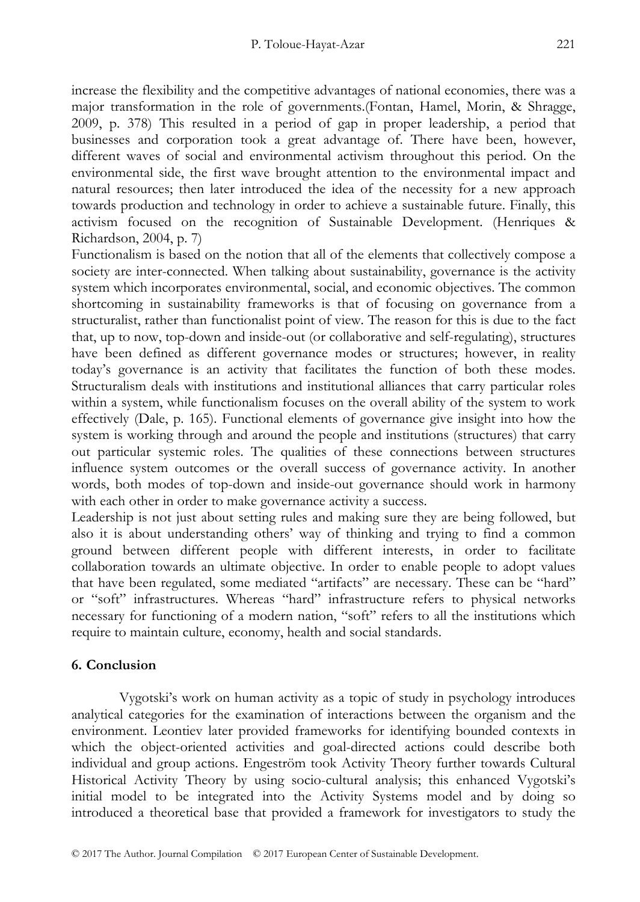increase the flexibility and the competitive advantages of national economies, there was a major transformation in the role of governments.(Fontan, Hamel, Morin, & Shragge, 2009, p. 378) This resulted in a period of gap in proper leadership, a period that businesses and corporation took a great advantage of. There have been, however, different waves of social and environmental activism throughout this period. On the environmental side, the first wave brought attention to the environmental impact and natural resources; then later introduced the idea of the necessity for a new approach towards production and technology in order to achieve a sustainable future. Finally, this activism focused on the recognition of Sustainable Development. (Henriques & Richardson, 2004, p. 7)

Functionalism is based on the notion that all of the elements that collectively compose a society are inter-connected. When talking about sustainability, governance is the activity system which incorporates environmental, social, and economic objectives. The common shortcoming in sustainability frameworks is that of focusing on governance from a structuralist, rather than functionalist point of view. The reason for this is due to the fact that, up to now, top-down and inside-out (or collaborative and self-regulating), structures have been defined as different governance modes or structures; however, in reality today's governance is an activity that facilitates the function of both these modes. Structuralism deals with institutions and institutional alliances that carry particular roles within a system, while functionalism focuses on the overall ability of the system to work effectively (Dale, p. 165). Functional elements of governance give insight into how the system is working through and around the people and institutions (structures) that carry out particular systemic roles. The qualities of these connections between structures influence system outcomes or the overall success of governance activity. In another words, both modes of top-down and inside-out governance should work in harmony with each other in order to make governance activity a success.

Leadership is not just about setting rules and making sure they are being followed, but also it is about understanding others' way of thinking and trying to find a common ground between different people with different interests, in order to facilitate collaboration towards an ultimate objective. In order to enable people to adopt values that have been regulated, some mediated "artifacts" are necessary. These can be "hard" or "soft" infrastructures. Whereas "hard" infrastructure refers to physical networks necessary for functioning of a modern nation, "soft" refers to all the institutions which require to maintain culture, economy, health and social standards.

# **6. Conclusion**

Vygotski's work on human activity as a topic of study in psychology introduces analytical categories for the examination of interactions between the organism and the environment. Leontiev later provided frameworks for identifying bounded contexts in which the object-oriented activities and goal-directed actions could describe both individual and group actions. Engeström took Activity Theory further towards Cultural Historical Activity Theory by using socio-cultural analysis; this enhanced Vygotski's initial model to be integrated into the Activity Systems model and by doing so introduced a theoretical base that provided a framework for investigators to study the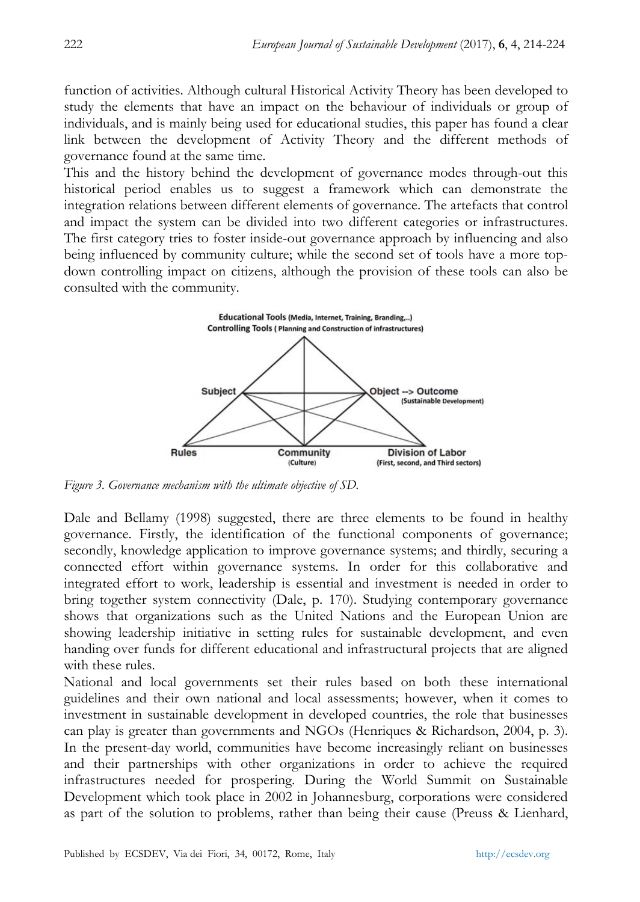function of activities. Although cultural Historical Activity Theory has been developed to study the elements that have an impact on the behaviour of individuals or group of individuals, and is mainly being used for educational studies, this paper has found a clear link between the development of Activity Theory and the different methods of governance found at the same time.

This and the history behind the development of governance modes through-out this historical period enables us to suggest a framework which can demonstrate the integration relations between different elements of governance. The artefacts that control and impact the system can be divided into two different categories or infrastructures. The first category tries to foster inside-out governance approach by influencing and also being influenced by community culture; while the second set of tools have a more topdown controlling impact on citizens, although the provision of these tools can also be consulted with the community.



*Figure 3. Governance mechanism with the ultimate objective of SD.* 

Dale and Bellamy (1998) suggested, there are three elements to be found in healthy governance. Firstly, the identification of the functional components of governance; secondly, knowledge application to improve governance systems; and thirdly, securing a connected effort within governance systems. In order for this collaborative and integrated effort to work, leadership is essential and investment is needed in order to bring together system connectivity (Dale, p. 170). Studying contemporary governance shows that organizations such as the United Nations and the European Union are showing leadership initiative in setting rules for sustainable development, and even handing over funds for different educational and infrastructural projects that are aligned with these rules.

National and local governments set their rules based on both these international guidelines and their own national and local assessments; however, when it comes to investment in sustainable development in developed countries, the role that businesses can play is greater than governments and NGOs (Henriques & Richardson, 2004, p. 3). In the present-day world, communities have become increasingly reliant on businesses and their partnerships with other organizations in order to achieve the required infrastructures needed for prospering. During the World Summit on Sustainable Development which took place in 2002 in Johannesburg, corporations were considered as part of the solution to problems, rather than being their cause (Preuss & Lienhard,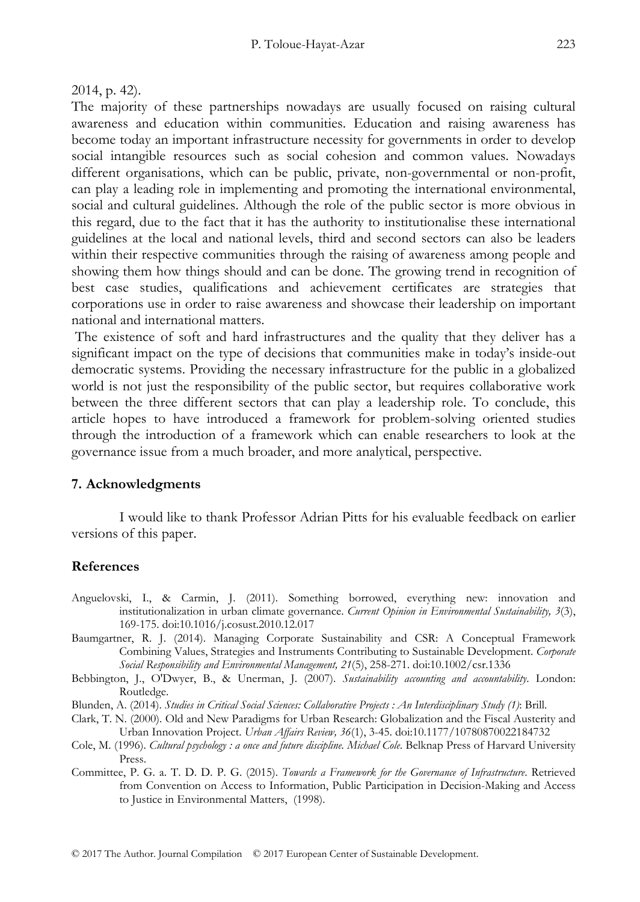2014, p. 42).

The majority of these partnerships nowadays are usually focused on raising cultural awareness and education within communities. Education and raising awareness has become today an important infrastructure necessity for governments in order to develop social intangible resources such as social cohesion and common values. Nowadays different organisations, which can be public, private, non-governmental or non-profit, can play a leading role in implementing and promoting the international environmental, social and cultural guidelines. Although the role of the public sector is more obvious in this regard, due to the fact that it has the authority to institutionalise these international guidelines at the local and national levels, third and second sectors can also be leaders within their respective communities through the raising of awareness among people and showing them how things should and can be done. The growing trend in recognition of best case studies, qualifications and achievement certificates are strategies that corporations use in order to raise awareness and showcase their leadership on important national and international matters.

 The existence of soft and hard infrastructures and the quality that they deliver has a significant impact on the type of decisions that communities make in today's inside-out democratic systems. Providing the necessary infrastructure for the public in a globalized world is not just the responsibility of the public sector, but requires collaborative work between the three different sectors that can play a leadership role. To conclude, this article hopes to have introduced a framework for problem-solving oriented studies through the introduction of a framework which can enable researchers to look at the governance issue from a much broader, and more analytical, perspective.

# **7. Acknowledgments**

I would like to thank Professor Adrian Pitts for his evaluable feedback on earlier versions of this paper.

# **References**

- Anguelovski, I., & Carmin, J. (2011). Something borrowed, everything new: innovation and institutionalization in urban climate governance. *Current Opinion in Environmental Sustainability, 3*(3), 169-175. doi:10.1016/j.cosust.2010.12.017
- Baumgartner, R. J. (2014). Managing Corporate Sustainability and CSR: A Conceptual Framework Combining Values, Strategies and Instruments Contributing to Sustainable Development. *Corporate Social Responsibility and Environmental Management, 21*(5), 258-271. doi:10.1002/csr.1336
- Bebbington, J., O'Dwyer, B., & Unerman, J. (2007). *Sustainability accounting and accountability*. London: Routledge.
- Blunden, A. (2014). *Studies in Critical Social Sciences: Collaborative Projects : An Interdisciplinary Study (1)*: Brill.
- Clark, T. N. (2000). Old and New Paradigms for Urban Research: Globalization and the Fiscal Austerity and Urban Innovation Project. *Urban Affairs Review, 36*(1), 3-45. doi:10.1177/10780870022184732
- Cole, M. (1996). *Cultural psychology : a once and future discipline. Michael Cole*. Belknap Press of Harvard University Press.
- Committee, P. G. a. T. D. D. P. G. (2015). *Towards a Framework for the Governance of Infrastructure*. Retrieved from Convention on Access to Information, Public Participation in Decision-Making and Access to Justice in Environmental Matters, (1998).